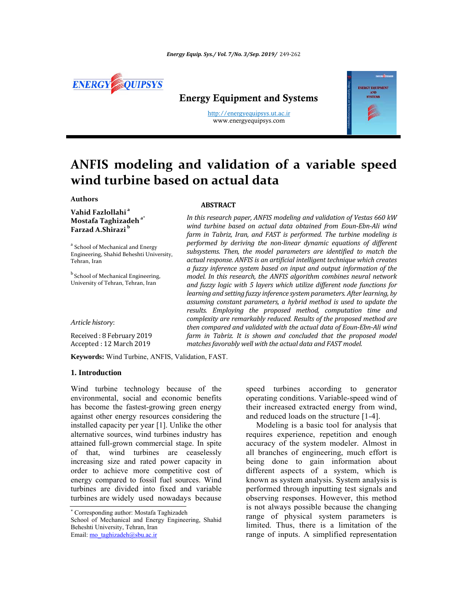

# Energy Equipment and Systems

http://energyequipsys.ut.ac.ir www.energyequipsys.com



# **ANFIS modeling and validation of a variable speed wind turbine based on actual data**

# **Authors**

**Vahid Fazlollahi <sup>a</sup> Mostafa Taghizadeha\* Farzad A.Shirazi <sup>b</sup>**

<sup>a</sup> School of Mechanical and Energy Engineering, Shahid Beheshti University, Tehran, Iran

**b** School of Mechanical Engineering, University of Tehran, Tehran, Iran

*Article history*:

Received: 8 February 2019 Accepted : 12 March 2019

**Keywords:** Wind Turbine, ANFIS, Validation, FAST.

#### **1. Introduction**

Wind turbine technology because of the environmental, social and economic benefits has become the fastest-growing green energy against other energy resources considering the installed capacity per year [1]. Unlike the other alternative sources, wind turbines industry has attained full-grown commercial stage. In spite of that, wind turbines are ceaselessly increasing size and rated power capacity in order to achieve more competitive cost of energy compared to fossil fuel sources. Wind turbines are divided into fixed and variable turbines are widely used nowadays because

## **ABSTRACT**

*In this research paper, ANFIS modeling and validation of Vestas 660 kW wind turbine based on actual data obtained from Eoun‐Ebn‐Ali wind farm in Tabriz, Iran, and FAST is performed. The turbine modeling is performed by deriving the non‐linear dynamic equations of different subsystems. Then, the model parameters are identified to match the actual response. ANFIS is an artificial intelligent technique which creates a fuzzy inference system based on input and output information of the model. In this research, the ANFIS algorithm combines neural network and fuzzy logic with 5 layers which utilize different node functions for learning and setting fuzzy inference system parameters. After learning, by assuming constant parameters, a hybrid method is used to update the results. Employing the proposed method, computation time and complexity are remarkably reduced. Results of the proposed method are then compared and validated with the actual data of Eoun‐Ebn‐Ali wind farm in Tabriz. It is shown and concluded that the proposed model matchesfavorably well with the actual data and FAST model.*

> speed turbines according to generator operating conditions. Variable-speed wind of their increased extracted energy from wind, and reduced loads on the structure [1-4].

> Modeling is a basic tool for analysis that requires experience, repetition and enough accuracy of the system modeler. Almost in all branches of engineering, much effort is being done to gain information about different aspects of a system, which is known as system analysis. System analysis is performed through inputting test signals and observing responses. However, this method is not always possible because the changing range of physical system parameters is limited. Thus, there is a limitation of the range of inputs. A simplified representation

 Corresponding author: Mostafa Taghizadeh School of Mechanical and Energy Engineering, Shahid Beheshti University, Tehran, Iran Email: mo\_taghizadeh@sbu.ac.ir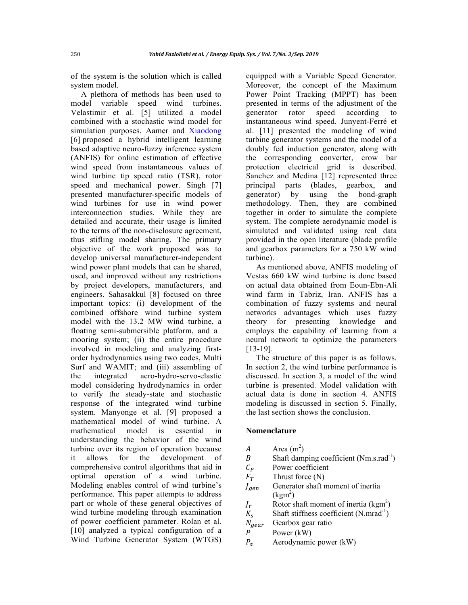of the system is the solution which is called system model.

A plethora of methods has been used to model variable speed wind turbines. Velastimir et al. [5] utilized a model combined with a stochastic wind model for simulation purposes. Aamer and Xiaodong [6] proposed a hybrid intelligent learning based adaptive neuro-fuzzy inference system (ANFIS) for online estimation of effective wind speed from instantaneous values of wind turbine tip speed ratio (TSR), rotor speed and mechanical power. Singh [7] presented manufacturer-specific models of wind turbines for use in wind power interconnection studies. While they are detailed and accurate, their usage is limited to the terms of the non-disclosure agreement, thus stifling model sharing. The primary objective of the work proposed was to develop universal manufacturer-independent wind power plant models that can be shared, used, and improved without any restrictions by project developers, manufacturers, and engineers. Sahasakkul [8] focused on three important topics: (i) development of the combined offshore wind turbine system model with the 13.2 MW wind turbine, a floating semi-submersible platform, and a mooring system; (ii) the entire procedure involved in modeling and analyzing firstorder hydrodynamics using two codes, Multi Surf and WAMIT; and (iii) assembling of the integrated aero-hydro-servo-elastic model considering hydrodynamics in order to verify the steady-state and stochastic response of the integrated wind turbine system. Manyonge et al. [9] proposed a mathematical model of wind turbine. A mathematical model is essential in understanding the behavior of the wind turbine over its region of operation because it allows for the development of comprehensive control algorithms that aid in optimal operation of a wind turbine. Modeling enables control of wind turbine's performance. This paper attempts to address part or whole of these general objectives of wind turbine modeling through examination of power coefficient parameter. Rolan et al. [10] analyzed a typical configuration of a Wind Turbine Generator System (WTGS)

equipped with a Variable Speed Generator. Moreover, the concept of the Maximum Power Point Tracking (MPPT) has been presented in terms of the adjustment of the generator rotor speed according to instantaneous wind speed. Junyent-Ferré et al. [11] presented the modeling of wind turbine generator systems and the model of a doubly fed induction generator, along with the corresponding converter, crow bar protection electrical grid is described. Sanchez and Medina [12] represented three principal parts (blades, gearbox, and generator) by using the bond-graph methodology. Then, they are combined together in order to simulate the complete system. The complete aerodynamic model is simulated and validated using real data provided in the open literature (blade profile and gearbox parameters for a 750 kW wind turbine).

As mentioned above, ANFIS modeling of Vestas 660 kW wind turbine is done based on actual data obtained from Eoun-Ebn-Ali wind farm in Tabriz, Iran. ANFIS has a combination of fuzzy systems and neural networks advantages which uses fuzzy theory for presenting knowledge and employs the capability of learning from a neural network to optimize the parameters [13-19].

The structure of this paper is as follows. In section 2, the wind turbine performance is discussed. In section 3, a model of the wind turbine is presented. Model validation with actual data is done in section 4. ANFIS modeling is discussed in section 5. Finally, the last section shows the conclusion.

### **Nomenclature**

 $A$  Area (m<sup>2</sup>) B Shaft damping coefficient  $(Nm.s.rad^{-1})$  $C_D$  $C_P$  Power coefficient<br> $F_T$  Thrust force (N) Thrust force (N)  $J_{gen}$  Generator shaft moment of inertia  $\text{(kgm}^2)$  $J_r$  $r$  Rotor shaft moment of inertia (kgm<sup>2</sup>)  $K_s$  Shaft stiffness coefficient (N.mrad<sup>-1</sup>)<br> $N_{near}$  Gearbox gear ratio Gearbox gear ratio P Power (kW)  $P_a$  Aerodynamic power (kW)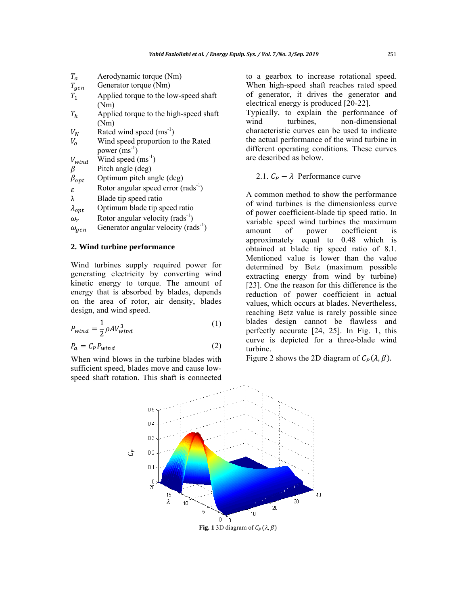| $T_a$           | Aerodynamic torque (Nm)                          |
|-----------------|--------------------------------------------------|
| $T_{gen}$       | Generator torque (Nm)                            |
| T <sub>1</sub>  | Applied torque to the low-speed shaft            |
|                 | (Nm)                                             |
|                 |                                                  |
| $T_h$           | Applied torque to the high-speed shaft           |
|                 | (Nm)                                             |
| $V_N$           | Rated wind speed $(ms^{-1})$                     |
| $V_{\alpha}$    | Wind speed proportion to the Rated               |
|                 | power $(ms^{-1})$                                |
| $V_{wind}$      | Wind speed $(ms^{-1})$                           |
| β               | Pitch angle (deg)                                |
| $\beta_{opt}$   | Optimum pitch angle (deg)                        |
| ε               | Rotor angular speed error $(rads^{-1})$          |
| λ               | Blade tip speed ratio                            |
| $\lambda_{opt}$ | Optimum blade tip speed ratio                    |
| $\omega_r$      | Rotor angular velocity (rads <sup>-1</sup> )     |
| $\omega_{gen}$  | Generator angular velocity (rads <sup>-1</sup> ) |

# **2. Wind turbine performance**

Wind turbines supply required power for generating electricity by converting wind kinetic energy to torque. The amount of energy that is absorbed by blades, depends on the area of rotor, air density, blades design, and wind speed.

$$
P_{wind} = \frac{1}{2} \rho A V_{wind}^3 \tag{1}
$$

$$
P_a = C_P P_{wind} \tag{2}
$$

When wind blows in the turbine blades with sufficient speed, blades move and cause lowspeed shaft rotation. This shaft is connected to a gearbox to increase rotational speed. When high-speed shaft reaches rated speed of generator, it drives the generator and electrical energy is produced [20-22].

Typically, to explain the performance of wind turbines, non-dimensional characteristic curves can be used to indicate the actual performance of the wind turbine in different operating conditions. These curves are described as below.

# 2.1.  $C_P - \lambda$  Performance curve

A common method to show the performance of wind turbines is the dimensionless curve of power coefficient-blade tip speed ratio. In variable speed wind turbines the maximum amount of power coefficient is approximately equal to 0.48 which is obtained at blade tip speed ratio of 8.1. Mentioned value is lower than the value determined by Betz (maximum possible extracting energy from wind by turbine) [23]. One the reason for this difference is the reduction of power coefficient in actual values, which occurs at blades. Nevertheless, reaching Betz value is rarely possible since blades design cannot be flawless and perfectly accurate [24, 25]. In Fig. 1, this curve is depicted for a three-blade wind turbine.

Figure 2 shows the 2D diagram of  $C_P(\lambda, \beta)$ .

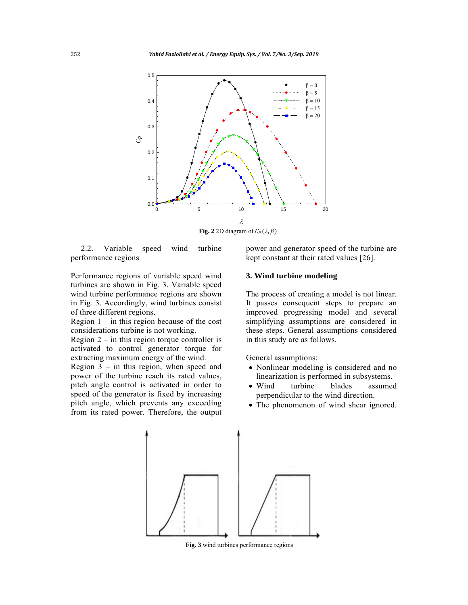

**Fig. 2** 2D diagram of  $C_p(\lambda, \beta)$ 

2.2. Variable speed wind turbine performance regions

Performance regions of variable speed wind turbines are shown in Fig. 3. Variable speed wind turbine performance regions are shown in Fig. 3. Accordingly, wind turbines consist of three different regions.

Region  $1 -$  in this region because of the cost considerations turbine is not working.

Region  $2 -$  in this region torque controller is activated to control generator torque for extracting maximum energy of the wind.

Region 3 – in this region, when speed and power of the turbine reach its rated values, pitch angle control is activated in order to speed of the generator is fixed by increasing pitch angle, which prevents any exceeding from its rated power. Therefore, the output

power and generator speed of the turbine are kept constant at their rated values [26].

#### **3. Wind turbine modeling**

The process of creating a model is not linear. It passes consequent steps to prepare an improved progressing model and several simplifying assumptions are considered in these steps. General assumptions considered in this study are as follows.

General assumptions:

- Nonlinear modeling is considered and no linearization is performed in subsystems.
- Wind turbine blades assumed perpendicular to the wind direction.
- The phenomenon of wind shear ignored.



 **Fig. 3** wind turbines performance regions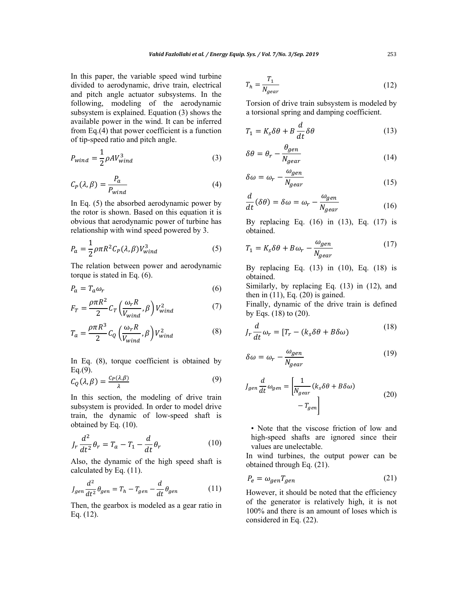In this paper, the variable speed wind turbine divided to aerodynamic, drive train, electrical and pitch angle actuator subsystems. In the following, modeling of the aerodynamic subsystem is explained. Equation (3) shows the available power in the wind. It can be inferred from Eq.(4) that power coefficient is a function of tip-speed ratio and pitch angle.

$$
P_{wind} = \frac{1}{2} \rho A V_{wind}^3 \tag{3}
$$

$$
C_P(\lambda, \beta) = \frac{P_a}{P_{wind}} \tag{4}
$$

In Eq. (5) the absorbed aerodynamic power by the rotor is shown. Based on this equation it is obvious that aerodynamic power of turbine has relationship with wind speed powered by 3.

$$
P_a = \frac{1}{2} \rho \pi R^2 C_P(\lambda, \beta) V_{wind}^3 \tag{5}
$$

The relation between power and aerodynamic torque is stated in Eq. (6).

$$
P_a = T_a \omega_r \tag{6}
$$

$$
F_T = \frac{\rho \pi R^2}{2} C_T \left(\frac{\omega_r R}{V_{wind}}, \beta\right) V_{wind}^2 \tag{7}
$$

$$
T_a = \frac{\rho \pi R^3}{2} C_Q \left(\frac{\omega_r R}{V_{wind}}, \beta\right) V_{wind}^2 \tag{8}
$$

In Eq. (8), torque coefficient is obtained by  $Eq.(9)$ .

$$
C_Q(\lambda, \beta) = \frac{C_P(\lambda, \beta)}{\lambda} \tag{9}
$$

In this section, the modeling of drive train subsystem is provided. In order to model drive train, the dynamic of low-speed shaft is obtained by Eq. (10).

$$
J_r \frac{d^2}{dt^2} \theta_r = T_a - T_1 - \frac{d}{dt} \theta_r \tag{10}
$$

Also, the dynamic of the high speed shaft is calculated by Eq. (11).

$$
J_{gen} \frac{d^2}{dt^2} \theta_{gen} = T_h - T_{gen} - \frac{d}{dt} \theta_{gen}
$$
 (11)

Then, the gearbox is modeled as a gear ratio in Eq. (12).

$$
T_h = \frac{T_1}{N_{gear}}\tag{12}
$$

Torsion of drive train subsystem is modeled by a torsional spring and damping coefficient.

$$
T_1 = K_s \delta \theta + B \frac{d}{dt} \delta \theta \tag{13}
$$

$$
\delta\theta = \theta_r - \frac{\theta_{gen}}{N_{gear}} \tag{14}
$$

$$
\delta \omega = \omega_r - \frac{\omega_{gen}}{N_{gear}} \tag{15}
$$

$$
\frac{d}{dt}(\delta\theta) = \delta\omega = \omega_r - \frac{\omega_{gen}}{N_{gear}}\tag{16}
$$

By replacing Eq. (16) in (13), Eq. (17) is obtained.

$$
T_1 = K_S \delta \theta + B\omega_r - \frac{\omega_{gen}}{N_{gear}} \tag{17}
$$

By replacing Eq. (13) in (10), Eq. (18) is obtained.

Similarly, by replacing Eq. (13) in (12), and then in  $(11)$ , Eq.  $(20)$  is gained.

Finally, dynamic of the drive train is defined by Eqs. (18) to (20).

$$
J_r \frac{d}{dt} \omega_r = [T_r - (k_s \delta \theta + B \delta \omega) \tag{18}
$$

$$
\delta \omega = \omega_r - \frac{\omega_{gen}}{N_{gear}} \tag{19}
$$

$$
J_{gen} \frac{d}{dt} \omega_{gen} = \left[ \frac{1}{N_{gear}} (k_s \delta \theta + B \delta \omega) - T_{gen} \right]
$$
 (20)

• Note that the viscose friction of low and high-speed shafts are ignored since their values are unelectable.

In wind turbines, the output power can be obtained through Eq. (21).

$$
P_e = \omega_{gen} T_{gen} \tag{21}
$$

However, it should be noted that the efficiency of the generator is relatively high, it is not 100% and there is an amount of loses which is considered in Eq. (22).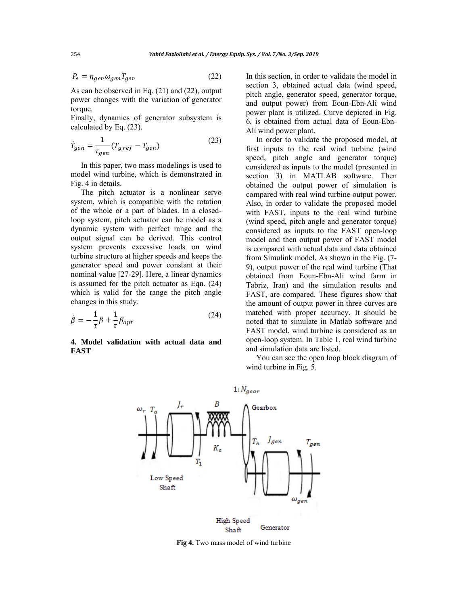$$
P_e = \eta_{gen} \omega_{gen} T_{gen} \tag{22}
$$

As can be observed in Eq. (21) and (22), output power changes with the variation of generator torque.

Finally, dynamics of generator subsystem is calculated by Eq. (23).

$$
\dot{T}_{gen} = \frac{1}{\tau_{gen}} (T_{g,ref} - T_{gen})
$$
\n(23)

In this paper, two mass modelings is used to model wind turbine, which is demonstrated in Fig. 4 in details.

The pitch actuator is a nonlinear servo system, which is compatible with the rotation of the whole or a part of blades. In a closedloop system, pitch actuator can be model as a dynamic system with perfect range and the output signal can be derived. This control system prevents excessive loads on wind turbine structure at higher speeds and keeps the generator speed and power constant at their nominal value [27-29]. Here, a linear dynamics is assumed for the pitch actuator as Eqn. (24) which is valid for the range the pitch angle changes in this study.

$$
\dot{\beta} = -\frac{1}{\tau}\beta + \frac{1}{\tau}\beta_{opt} \tag{24}
$$

**4. Model validation with actual data and FAST** 

In this section, in order to validate the model in section 3, obtained actual data (wind speed, pitch angle, generator speed, generator torque, and output power) from Eoun-Ebn-Ali wind power plant is utilized. Curve depicted in Fig. 6, is obtained from actual data of Eoun-Ebn-Ali wind power plant.

In order to validate the proposed model, at first inputs to the real wind turbine (wind speed, pitch angle and generator torque) considered as inputs to the model (presented in section 3) in MATLAB software. Then obtained the output power of simulation is compared with real wind turbine output power. Also, in order to validate the proposed model with FAST, inputs to the real wind turbine (wind speed, pitch angle and generator torque) considered as inputs to the FAST open-loop model and then output power of FAST model is compared with actual data and data obtained from Simulink model. As shown in the Fig. (7- 9), output power of the real wind turbine (That obtained from Eoun-Ebn-Ali wind farm in Tabriz, Iran) and the simulation results and FAST, are compared. These figures show that the amount of output power in three curves are matched with proper accuracy. It should be noted that to simulate in Matlab software and FAST model, wind turbine is considered as an open-loop system. In Table 1, real wind turbine and simulation data are listed.

You can see the open loop block diagram of wind turbine in Fig. 5.



**Fig 4.** Two mass model of wind turbine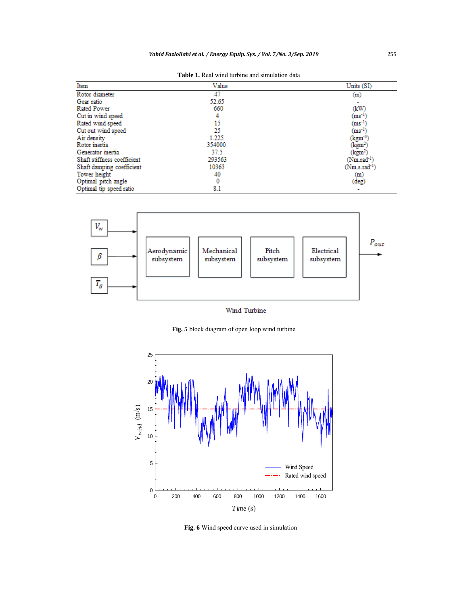**Table 1.** Real wind turbine and simulation data

| Item                        | Value  | Units (SI)         |
|-----------------------------|--------|--------------------|
| Rotor diameter              | 47     | (m)                |
| Gear ratio                  | 52.65  |                    |
| <b>Rated Power</b>          | 660    | (kW)               |
| Cut in wind speed           | 4      | $\rm (ms^{-1})$    |
| Rated wind speed            | 15     | $\rm (ms^{-1})$    |
| Cut out wind speed          | 25     | $(ms^{-1})$        |
| Air density                 | 1.225  | (kgm <sup>-3</sup> |
| Rotor inertia               | 354000 | (kgm²)             |
| Generator inertia           | 37.5   | (kgm²)             |
| Shaft stiffness coefficient | 293563 | $(Nm.read^{-1})$   |
| Shaft damping coefficient   | 10363  | $(Nm.s. rad-1)$    |
| Tower height                | 40     | (m)                |
| Optimal pitch angle         | 0      | (deg)              |
| Optimal tip speed ratio     | 8.1    |                    |



Wind Turbine

**Fig. 5** block diagram of open loop wind turbine



 **Fig. 6** Wind speed curve used in simulation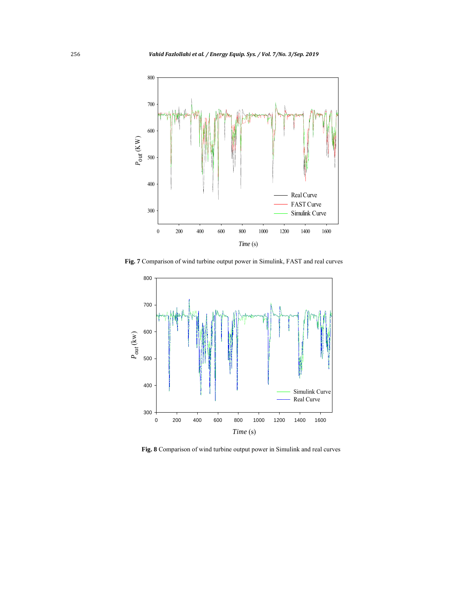

**Fig. 7** Comparison of wind turbine output power in Simulink, FAST and real curves



 **Fig. 8** Comparison of wind turbine output power in Simulink and real curves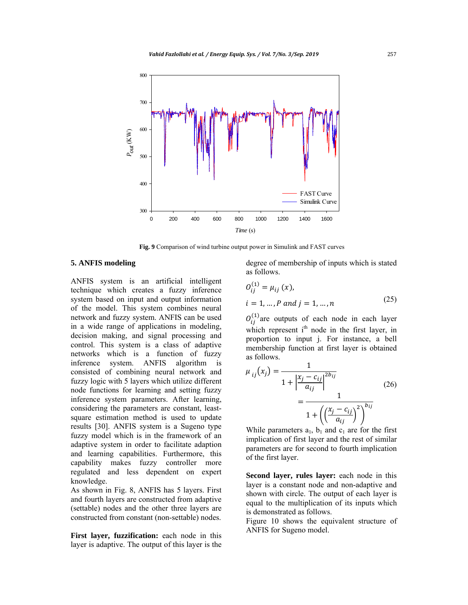

 **Fig. 9** Comparison of wind turbine output power in Simulink and FAST curves

# **5. ANFIS modeling**

ANFIS system is an artificial intelligent technique which creates a fuzzy inference system based on input and output information of the model. This system combines neural network and fuzzy system. ANFIS can be used in a wide range of applications in modeling, decision making, and signal processing and control. This system is a class of adaptive networks which is a function of fuzzy inference system. ANFIS algorithm is consisted of combining neural network and fuzzy logic with 5 layers which utilize different node functions for learning and setting fuzzy inference system parameters. After learning, considering the parameters are constant, leastsquare estimation method is used to update results [30]. ANFIS system is a Sugeno type fuzzy model which is in the framework of an adaptive system in order to facilitate adaption and learning capabilities. Furthermore, this capability makes fuzzy controller more regulated and less dependent on expert knowledge.

As shown in Fig. 8, ANFIS has 5 layers. First and fourth layers are constructed from adaptive (settable) nodes and the other three layers are constructed from constant (non-settable) nodes.

**First layer, fuzzification:** each node in this layer is adaptive. The output of this layer is the degree of membership of inputs which is stated as follows.

$$
O_{ij}^{(1)} = \mu_{ij} (x),
$$
  
 $i = 1, ..., P \text{ and } j = 1, ..., n$  (25)

 $O_{ij}^{(1)}$  are outputs of each node in each layer which represent  $i<sup>th</sup>$  node in the first layer, in proportion to input j. For instance, a bell membership function at first layer is obtained as follows.

$$
\mu_{ij}(x_j) = \frac{1}{1 + \left|\frac{x_j - c_{ij}}{a_{ij}}\right|^{2b_{ij}}}
$$
\n
$$
= \frac{1}{1 + \left(\left(\frac{x_j - c_{ij}}{a_{ij}}\right)^2\right)^{b_{ij}}}
$$
\n(26)

While parameters  $a_1$ ,  $b_1$  and  $c_1$  are for the first implication of first layer and the rest of similar parameters are for second to fourth implication of the first layer.

**Second layer, rules layer:** each node in this layer is a constant node and non-adaptive and shown with circle. The output of each layer is equal to the multiplication of its inputs which is demonstrated as follows.

Figure 10 shows the equivalent structure of ANFIS for Sugeno model.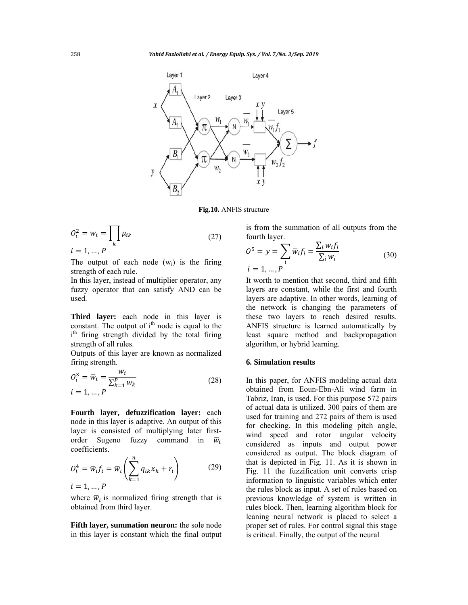

**Fig.10.** ANFIS structure

$$
O_i^2 = w_i = \prod_k \mu_{ik}
$$
  
\n
$$
i = 1, ..., P
$$
\n(27)

The output of each node  $(w_i)$  is the firing strength of each rule.

In this layer, instead of multiplier operator, any fuzzy operator that can satisfy AND can be used.

**Third layer:** each node in this layer is constant. The output of  $i<sup>th</sup>$  node is equal to the i<sup>th</sup> firing strength divided by the total firing strength of all rules.

Outputs of this layer are known as normalized firing strength.

$$
O_i^3 = \overline{w}_i = \frac{w_i}{\sum_{k=1}^P w_k}
$$
  
\n $i = 1, ..., P$  (28)

**Fourth layer, defuzzification layer:** each node in this layer is adaptive. An output of this layer is consisted of multiplying later firstorder Sugeno fuzzy command in  $\bar{w}_i$ coefficients.

$$
O_i^4 = \overline{w}_i f_i = \overline{w}_i \left( \sum_{k=1}^n q_{ik} x_k + r_i \right)
$$
 (29)  

$$
i = 1, ..., P
$$

where  $\overline{w}_i$  is normalized firing strength that is obtained from third layer.

**Fifth layer, summation neuron:** the sole node in this layer is constant which the final output is from the summation of all outputs from the fourth layer.

$$
05 = y = \sum_{i} \overline{w}_{i} f_{i} = \frac{\sum_{i} w_{i} f_{i}}{\sum_{i} w_{i}}
$$
  
  $i = 1, ..., P$  (30)

It worth to mention that second, third and fifth layers are constant, while the first and fourth layers are adaptive. In other words, learning of the network is changing the parameters of these two layers to reach desired results. ANFIS structure is learned automatically by least square method and backpropagation algorithm, or hybrid learning.

## **6. Simulation results**

In this paper, for ANFIS modeling actual data obtained from Eoun-Ebn-Ali wind farm in Tabriz, Iran, is used. For this purpose 572 pairs of actual data is utilized. 300 pairs of them are used for training and 272 pairs of them is used for checking. In this modeling pitch angle, wind speed and rotor angular velocity considered as inputs and output power considered as output. The block diagram of that is depicted in Fig. 11. As it is shown in Fig. 11 the fuzzification unit converts crisp information to linguistic variables which enter the rules block as input. A set of rules based on previous knowledge of system is written in rules block. Then, learning algorithm block for leaning neural network is placed to select a proper set of rules. For control signal this stage is critical. Finally, the output of the neural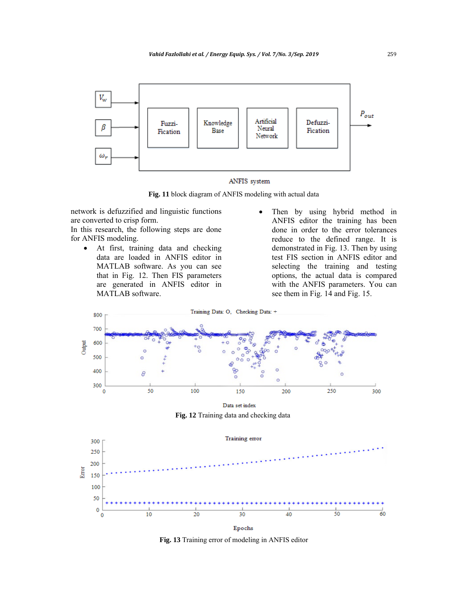

ANFIS system

**Fig. 11** block diagram of ANFIS modeling with actual data

network is defuzzified and linguistic functions are converted to crisp form.

In this research, the following steps are done for ANFIS modeling.

- At first, training data and checking data are loaded in ANFIS editor in MATLAB software. As you can see that in Fig. 12. Then FIS parameters are generated in ANFIS editor in MATLAB software.
- Then by using hybrid method in ANFIS editor the training has been done in order to the error tolerances reduce to the defined range. It is demonstrated in Fig. 13. Then by using test FIS section in ANFIS editor and selecting the training and testing options, the actual data is compared with the ANFIS parameters. You can see them in Fig. 14 and Fig. 15.



**Fig. 13** Training error of modeling in ANFIS editor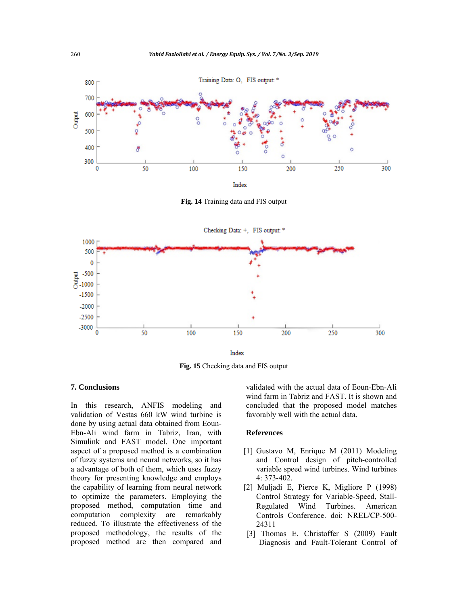

**Fig. 14** Training data and FIS output



**Fig. 15** Checking data and FIS output

# **7. Conclusions**

In this research, ANFIS modeling and validation of Vestas 660 kW wind turbine is done by using actual data obtained from Eoun-Ebn-Ali wind farm in Tabriz, Iran, with Simulink and FAST model. One important aspect of a proposed method is a combination of fuzzy systems and neural networks, so it has a advantage of both of them, which uses fuzzy theory for presenting knowledge and employs the capability of learning from neural network to optimize the parameters. Employing the proposed method, computation time and computation complexity are remarkably reduced. To illustrate the effectiveness of the proposed methodology, the results of the proposed method are then compared and

validated with the actual data of Eoun-Ebn-Ali wind farm in Tabriz and FAST. It is shown and concluded that the proposed model matches favorably well with the actual data.

# **References**

- [1] Gustavo M, Enrique M (2011) Modeling and Control design of pitch-controlled variable speed wind turbines. Wind turbines 4: 373-402.
- [2] Muljadi E, Pierce K, Migliore P (1998) Control Strategy for Variable-Speed, Stall-Regulated Wind Turbines. American Controls Conference. doi: NREL/CP-500- 24311
- [3] Thomas E, Christoffer S (2009) Fault Diagnosis and Fault-Tolerant Control of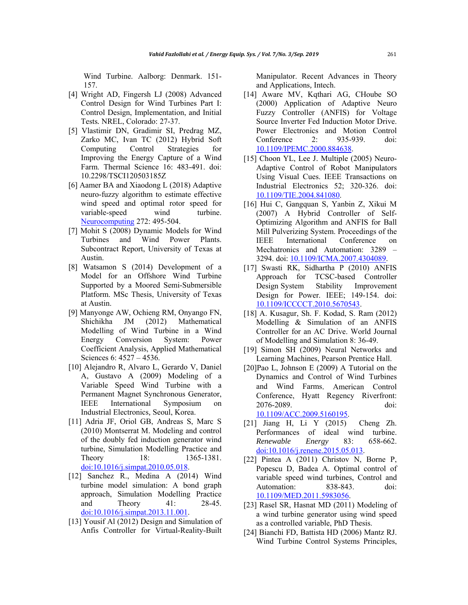Wind Turbine. Aalborg: Denmark. 151- 157.

- [4] Wright AD, Fingersh LJ (2008) Advanced Control Design for Wind Turbines Part I: Control Design, Implementation, and Initial Tests*.* NREL, Colorado: 27-37.
- [5] Vlastimir DN, Gradimir SI, Predrag MZ, Zarko MC, Ivan TC (2012) Hybrid Soft Computing Control Strategies for Improving the Energy Capture of a Wind Farm. Thermal Science 16: 483-491. doi: 10.2298/TSCI120503185Z
- [6] Aamer BA and Xiaodong L (2018) Adaptive neuro-fuzzy algorithm to estimate effective wind speed and optimal rotor speed for variable-speed wind turbine. Neurocomputing 272: 495-504.
- [7] Mohit S (2008) Dynamic Models for Wind Turbines and Wind Power Plants. Subcontract Report, University of Texas at Austin.
- [8] Watsamon S (2014) Development of a Model for an Offshore Wind Turbine Supported by a Moored Semi-Submersible Platform. MSc Thesis, University of Texas at Austin.
- [9] Manyonge AW, Ochieng RM, Onyango FN, Shichikha JM (2012) Mathematical Modelling of Wind Turbine in a Wind Energy Conversion System: Power Coefficient Analysis, Applied Mathematical Sciences 6: 4527 – 4536.
- [10] Alejandro R, Alvaro L, Gerardo V, Daniel A, Gustavo A (2009) Modeling of a Variable Speed Wind Turbine with a Permanent Magnet Synchronous Generator, IEEE International Symposium on Industrial Electronics*,* Seoul, Korea.
- [11] Adria JF, Oriol GB, Andreas S, Marc S (2010) Montserrat M. Modeling and control of the doubly fed induction generator wind turbine, Simulation Modelling Practice and Theory 18: 1365-1381. doi:10.1016/j.simpat.2010.05.018.
- [12] Sanchez R., Medina A (2014) Wind turbine model simulation: A bond graph approach, Simulation Modelling Practice and Theory 41: 28-45. doi:10.1016/j.simpat.2013.11.001.
- [13] Yousif Al (2012) Design and Simulation of Anfis Controller for Virtual-Reality-Built

Manipulator. Recent Advances in Theory and Applications*,* Intech.

- [14] Aware MV, Kqthari AG, CHoube SO (2000) Application of Adaptive Neuro Fuzzy Controller (ANFIS) for Voltage Source Inverter Fed Induction Motor Drive. Power Electronics and Motion Control Conference 2: 935-939. doi: 10.1109/IPEMC.2000.884638.
- [15] Choon YL, Lee J. Multiple (2005) Neuro-Adaptive Control of Robot Manipulators Using Visual Cues. IEEE Transactions on Industrial Electronics 52; 320-326. doi: 10.1109/TIE.2004.841080.
- [16] Hui C, Gangquan S, Yanbin Z, Xikui M (2007) A Hybrid Controller of Self-Optimizing Algorithm and ANFIS for Ball Mill Pulverizing System. Proceedings of the IEEE International Conference on Mechatronics and Automation: 3289 3294. doi: 10.1109/ICMA.2007.4304089.
- [17] Swasti RK, Sidhartha P (2010) ANFIS Approach for TCSC-based Controller Design System Stability Improvement Design for Power. IEEE; 149-154. doi: 10.1109/ICCCCT.2010.5670543.
- [18] A. Kusagur, Sh. F. Kodad, S. Ram (2012) Modelling & Simulation of an ANFIS Controller for an AC Drive. World Journal of Modelling and Simulation 8: 36-49.
- [19] Simon SH (2009) Neural Networks and Learning Machines, Pearson Prentice Hall.
- [20]Pao L, Johnson E (2009) A Tutorial on the Dynamics and Control of Wind Turbines and Wind Farms. American Control Conference, Hyatt Regency Riverfront: 2076-2089. doi:

10.1109/ACC.2009.5160195.

- [21] Jiang H, Li Y (2015) Cheng Zh. Performances of ideal wind turbine. *Renewable Energy* 83: 658-662. doi:10.1016/j.renene.2015.05.013.
- [22] Pintea A (2011) Christov N, Borne P, Popescu D, Badea A. Optimal control of variable speed wind turbines, Control and Automation: 838-843. doi: 10.1109/MED.2011.5983056.
- [23] Rasel SR, Hasnat MD (2011) Modeling of a wind turbine generator using wind speed as a controlled variable, PhD Thesis.
- [24] Bianchi FD, Battista HD (2006) Mantz RJ. Wind Turbine Control Systems Principles,